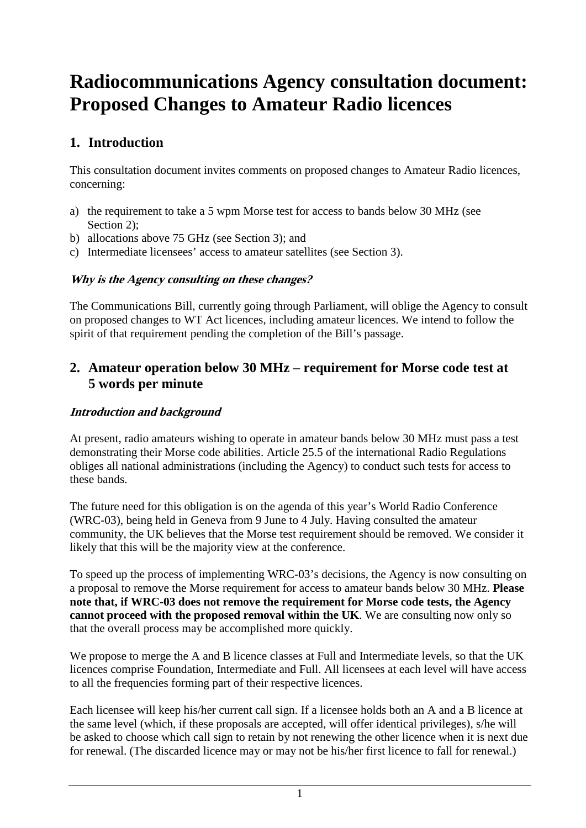# **Radiocommunications Agency consultation document: Proposed Changes to Amateur Radio licences**

# **1. Introduction**

This consultation document invites comments on proposed changes to Amateur Radio licences, concerning:

- a) the requirement to take a 5 wpm Morse test for access to bands below 30 MHz (see Section 2):
- b) allocations above 75 GHz (see Section 3); and
- c) Intermediate licensees' access to amateur satellites (see Section 3).

#### **Why is the Agency consulting on these changes?**

The Communications Bill, currently going through Parliament, will oblige the Agency to consult on proposed changes to WT Act licences, including amateur licences. We intend to follow the spirit of that requirement pending the completion of the Bill's passage.

# **2. Amateur operation below 30 MHz – requirement for Morse code test at 5 words per minute**

## **Introduction and background**

At present, radio amateurs wishing to operate in amateur bands below 30 MHz must pass a test demonstrating their Morse code abilities. Article 25.5 of the international Radio Regulations obliges all national administrations (including the Agency) to conduct such tests for access to these bands.

The future need for this obligation is on the agenda of this year's World Radio Conference (WRC-03), being held in Geneva from 9 June to 4 July. Having consulted the amateur community, the UK believes that the Morse test requirement should be removed. We consider it likely that this will be the majority view at the conference.

To speed up the process of implementing WRC-03's decisions, the Agency is now consulting on a proposal to remove the Morse requirement for access to amateur bands below 30 MHz. **Please note that, if WRC-03 does not remove the requirement for Morse code tests, the Agency cannot proceed with the proposed removal within the UK**. We are consulting now only so that the overall process may be accomplished more quickly.

We propose to merge the A and B licence classes at Full and Intermediate levels, so that the UK licences comprise Foundation, Intermediate and Full. All licensees at each level will have access to all the frequencies forming part of their respective licences.

Each licensee will keep his/her current call sign. If a licensee holds both an A and a B licence at the same level (which, if these proposals are accepted, will offer identical privileges), s/he will be asked to choose which call sign to retain by not renewing the other licence when it is next due for renewal. (The discarded licence may or may not be his/her first licence to fall for renewal.)

<sup>1</sup>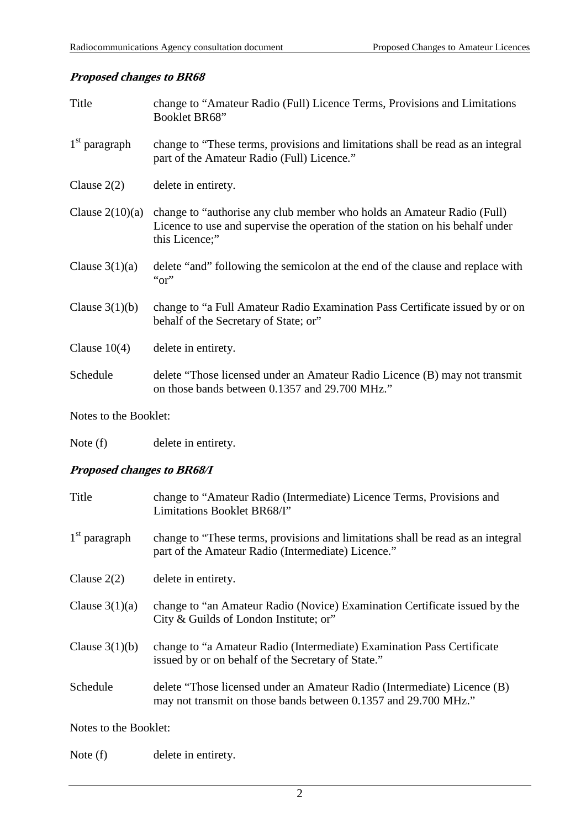## **Proposed changes to BR68**

| Title             | change to "Amateur Radio (Full) Licence Terms, Provisions and Limitations<br>Booklet BR68"                                                                                |
|-------------------|---------------------------------------------------------------------------------------------------------------------------------------------------------------------------|
| $1st$ paragraph   | change to "These terms, provisions and limitations shall be read as an integral<br>part of the Amateur Radio (Full) Licence."                                             |
| Clause $2(2)$     | delete in entirety.                                                                                                                                                       |
| Clause $2(10)(a)$ | change to "authorise any club member who holds an Amateur Radio (Full)<br>Licence to use and supervise the operation of the station on his behalf under<br>this Licence;" |
| Clause $3(1)(a)$  | delete "and" following the semicolon at the end of the clause and replace with<br>" $or$ "                                                                                |
| Clause $3(1)(b)$  | change to "a Full Amateur Radio Examination Pass Certificate issued by or on<br>behalf of the Secretary of State; or"                                                     |
| Clause $10(4)$    | delete in entirety.                                                                                                                                                       |
| Schedule          | delete "Those licensed under an Amateur Radio Licence (B) may not transmit<br>on those bands between 0.1357 and 29.700 MHz."                                              |

Notes to the Booklet:

Note (f) delete in entirety.

### **Proposed changes to BR68/I**

| Title            | change to "Amateur Radio (Intermediate) Licence Terms, Provisions and<br>Limitations Booklet BR68/I"                                        |
|------------------|---------------------------------------------------------------------------------------------------------------------------------------------|
| $1st$ paragraph  | change to "These terms, provisions and limitations shall be read as an integral<br>part of the Amateur Radio (Intermediate) Licence."       |
| Clause $2(2)$    | delete in entirety.                                                                                                                         |
| Clause $3(1)(a)$ | change to "an Amateur Radio (Novice) Examination Certificate issued by the<br>City & Guilds of London Institute; or"                        |
| Clause $3(1)(b)$ | change to "a Amateur Radio (Intermediate) Examination Pass Certificate<br>issued by or on behalf of the Secretary of State."                |
| Schedule         | delete "Those licensed under an Amateur Radio (Intermediate) Licence (B)<br>may not transmit on those bands between 0.1357 and 29.700 MHz." |
|                  |                                                                                                                                             |

Notes to the Booklet:

Note (f) delete in entirety.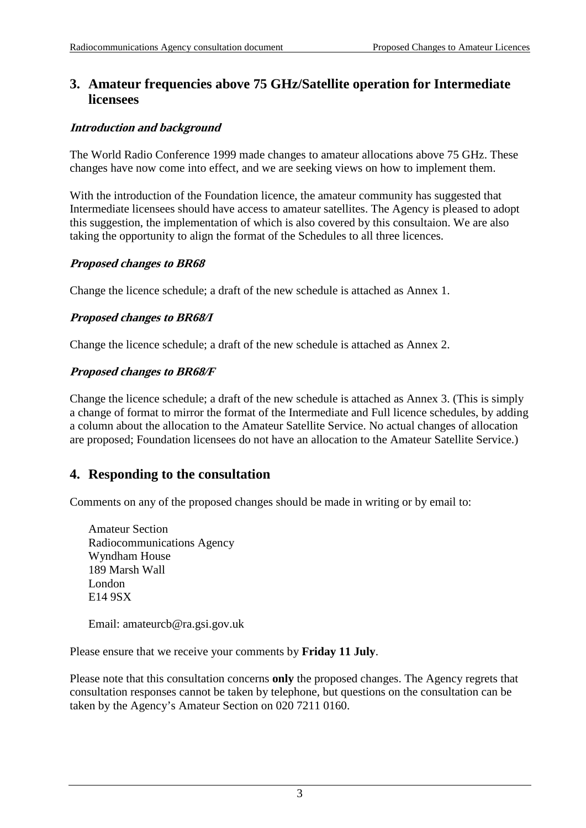# **3. Amateur frequencies above 75 GHz/Satellite operation for Intermediate licensees**

#### **Introduction and background**

The World Radio Conference 1999 made changes to amateur allocations above 75 GHz. These changes have now come into effect, and we are seeking views on how to implement them.

With the introduction of the Foundation licence, the amateur community has suggested that Intermediate licensees should have access to amateur satellites. The Agency is pleased to adopt this suggestion, the implementation of which is also covered by this consultaion. We are also taking the opportunity to align the format of the Schedules to all three licences.

#### **Proposed changes to BR68**

Change the licence schedule; a draft of the new schedule is attached as Annex 1.

#### **Proposed changes to BR68/I**

Change the licence schedule; a draft of the new schedule is attached as Annex 2.

#### **Proposed changes to BR68/F**

Change the licence schedule; a draft of the new schedule is attached as Annex 3. (This is simply a change of format to mirror the format of the Intermediate and Full licence schedules, by adding a column about the allocation to the Amateur Satellite Service. No actual changes of allocation are proposed; Foundation licensees do not have an allocation to the Amateur Satellite Service.)

## **4. Responding to the consultation**

Comments on any of the proposed changes should be made in writing or by email to:

Amateur Section Radiocommunications Agency Wyndham House 189 Marsh Wall London E14 9SX

Email: amateurcb@ra.gsi.gov.uk

Please ensure that we receive your comments by **Friday 11 July**.

Please note that this consultation concerns **only** the proposed changes. The Agency regrets that consultation responses cannot be taken by telephone, but questions on the consultation can be taken by the Agency's Amateur Section on 020 7211 0160.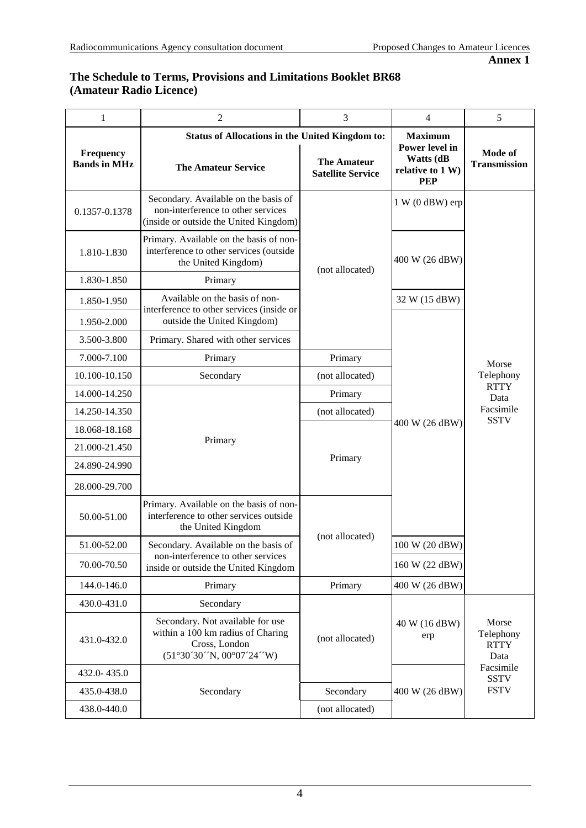#### **The Schedule to Terms, Provisions and Limitations Booklet BR68 (Amateur Radio Licence)**

| $\mathbf{1}$                            | $\overline{c}$                                                                                                       | 3                                              | $\overline{4}$                                                       | 5                                         |
|-----------------------------------------|----------------------------------------------------------------------------------------------------------------------|------------------------------------------------|----------------------------------------------------------------------|-------------------------------------------|
|                                         | <b>Status of Allocations in the United Kingdom to:</b>                                                               | <b>Maximum</b>                                 |                                                                      |                                           |
| <b>Frequency</b><br><b>Bands in MHz</b> | <b>The Amateur Service</b>                                                                                           | <b>The Amateur</b><br><b>Satellite Service</b> | Power level in<br><b>Watts (dB</b><br>relative to 1 W)<br><b>PEP</b> | <b>Mode of</b><br><b>Transmission</b>     |
| 0.1357-0.1378                           | Secondary. Available on the basis of<br>non-interference to other services<br>(inside or outside the United Kingdom) |                                                | $1 W (0 dBW)$ erp                                                    |                                           |
| 1.810-1.830                             | Primary. Available on the basis of non-<br>interference to other services (outside<br>the United Kingdom)            | (not allocated)                                | 400 W (26 dBW)                                                       |                                           |
| 1.830-1.850                             | Primary                                                                                                              |                                                |                                                                      |                                           |
| 1.850-1.950                             | Available on the basis of non-<br>interference to other services (inside or                                          |                                                | 32 W (15 dBW)                                                        |                                           |
| 1.950-2.000                             | outside the United Kingdom)                                                                                          |                                                |                                                                      |                                           |
| 3.500-3.800                             | Primary. Shared with other services                                                                                  |                                                |                                                                      |                                           |
| 7.000-7.100                             | Primary                                                                                                              | Primary                                        |                                                                      | Morse<br>Telephony                        |
| 10.100-10.150                           | Secondary                                                                                                            | (not allocated)                                |                                                                      |                                           |
| 14.000-14.250                           |                                                                                                                      | Primary                                        |                                                                      | <b>RTTY</b><br>Data                       |
| 14.250-14.350                           | Primary                                                                                                              | (not allocated)                                | 400 W (26 dBW)                                                       | Facsimile<br><b>SSTV</b>                  |
| 18.068-18.168                           |                                                                                                                      |                                                |                                                                      |                                           |
| 21.000-21.450                           |                                                                                                                      |                                                |                                                                      |                                           |
| 24.890-24.990                           |                                                                                                                      | Primary                                        |                                                                      |                                           |
| 28.000-29.700                           |                                                                                                                      |                                                |                                                                      |                                           |
| 50.00-51.00                             | Primary. Available on the basis of non-<br>interference to other services outside<br>the United Kingdom              | (not allocated)                                |                                                                      |                                           |
| 51.00-52.00                             | Secondary. Available on the basis of                                                                                 |                                                | 100 W (20 dBW)                                                       |                                           |
| 70.00-70.50                             | non-interference to other services<br>inside or outside the United Kingdom                                           |                                                | 160 W (22 dBW)                                                       |                                           |
| 144.0-146.0                             | Primary                                                                                                              | Primary                                        | 400 W (26 dBW)                                                       |                                           |
| 430.0-431.0                             | Secondary                                                                                                            |                                                |                                                                      |                                           |
| 431.0-432.0                             | Secondary. Not available for use<br>within a 100 km radius of Charing<br>Cross, London<br>(51°30'30'N, 00°07'24'W)   | (not allocated)                                | 40 W (16 dBW)<br>erp                                                 | Morse<br>Telephony<br><b>RTTY</b><br>Data |
| 432.0-435.0                             |                                                                                                                      |                                                |                                                                      | Facsimile<br><b>SSTV</b>                  |
| 435.0-438.0                             | Secondary                                                                                                            | Secondary                                      | 400 W (26 dBW)                                                       | <b>FSTV</b>                               |
| 438.0-440.0                             |                                                                                                                      | (not allocated)                                |                                                                      |                                           |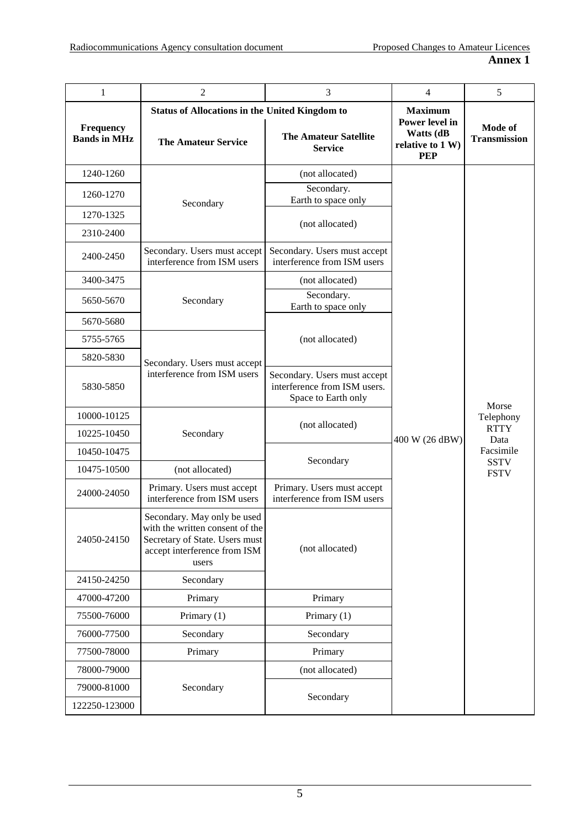| $\mathbf{1}$                     | $\overline{2}$                                                                                                                            | 3                                                                                   | $\overline{4}$                                                                         | 5                                                                                    |
|----------------------------------|-------------------------------------------------------------------------------------------------------------------------------------------|-------------------------------------------------------------------------------------|----------------------------------------------------------------------------------------|--------------------------------------------------------------------------------------|
| Frequency<br><b>Bands in MHz</b> | <b>Status of Allocations in the United Kingdom to</b><br><b>The Amateur Service</b>                                                       | <b>The Amateur Satellite</b><br><b>Service</b>                                      | <b>Maximum</b><br>Power level in<br><b>Watts (dB</b><br>relative to 1 W)<br><b>PEP</b> | <b>Mode of</b><br><b>Transmission</b>                                                |
| 1240-1260                        |                                                                                                                                           | (not allocated)                                                                     |                                                                                        |                                                                                      |
| 1260-1270                        | Secondary                                                                                                                                 | Secondary.<br>Earth to space only                                                   |                                                                                        |                                                                                      |
| 1270-1325                        |                                                                                                                                           | (not allocated)                                                                     |                                                                                        |                                                                                      |
| 2310-2400                        |                                                                                                                                           |                                                                                     |                                                                                        |                                                                                      |
| 2400-2450                        | Secondary. Users must accept<br>interference from ISM users                                                                               | Secondary. Users must accept<br>interference from ISM users                         |                                                                                        |                                                                                      |
| 3400-3475                        |                                                                                                                                           | (not allocated)                                                                     |                                                                                        |                                                                                      |
| 5650-5670                        | Secondary                                                                                                                                 | Secondary.<br>Earth to space only                                                   |                                                                                        | Morse<br>Telephony<br><b>RTTY</b><br>Data<br>Facsimile<br><b>SSTV</b><br><b>FSTV</b> |
| 5670-5680                        |                                                                                                                                           |                                                                                     |                                                                                        |                                                                                      |
| 5755-5765                        |                                                                                                                                           | (not allocated)                                                                     |                                                                                        |                                                                                      |
| 5820-5830                        | Secondary. Users must accept                                                                                                              |                                                                                     |                                                                                        |                                                                                      |
| 5830-5850                        | interference from ISM users                                                                                                               | Secondary. Users must accept<br>interference from ISM users.<br>Space to Earth only | 400 W (26 dBW)                                                                         |                                                                                      |
| 10000-10125                      |                                                                                                                                           | (not allocated)                                                                     |                                                                                        |                                                                                      |
| 10225-10450                      | Secondary                                                                                                                                 |                                                                                     |                                                                                        |                                                                                      |
| 10450-10475                      |                                                                                                                                           |                                                                                     |                                                                                        |                                                                                      |
| 10475-10500                      | (not allocated)                                                                                                                           | Secondary                                                                           |                                                                                        |                                                                                      |
| 24000-24050                      | Primary. Users must accept<br>interference from ISM users                                                                                 | Primary. Users must accept<br>interference from ISM users                           |                                                                                        |                                                                                      |
| 24050-24150                      | Secondary. May only be used<br>with the written consent of the<br>Secretary of State. Users must<br>accept interference from ISM<br>users | (not allocated)                                                                     |                                                                                        |                                                                                      |
| 24150-24250                      | Secondary                                                                                                                                 |                                                                                     |                                                                                        |                                                                                      |
| 47000-47200                      | Primary                                                                                                                                   | Primary                                                                             |                                                                                        |                                                                                      |
| 75500-76000                      | Primary (1)                                                                                                                               | Primary (1)                                                                         |                                                                                        |                                                                                      |
| 76000-77500                      | Secondary                                                                                                                                 | Secondary                                                                           |                                                                                        |                                                                                      |
| 77500-78000                      | Primary                                                                                                                                   | Primary                                                                             |                                                                                        |                                                                                      |
| 78000-79000                      |                                                                                                                                           | (not allocated)                                                                     |                                                                                        |                                                                                      |
| 79000-81000<br>122250-123000     | Secondary                                                                                                                                 | Secondary                                                                           |                                                                                        |                                                                                      |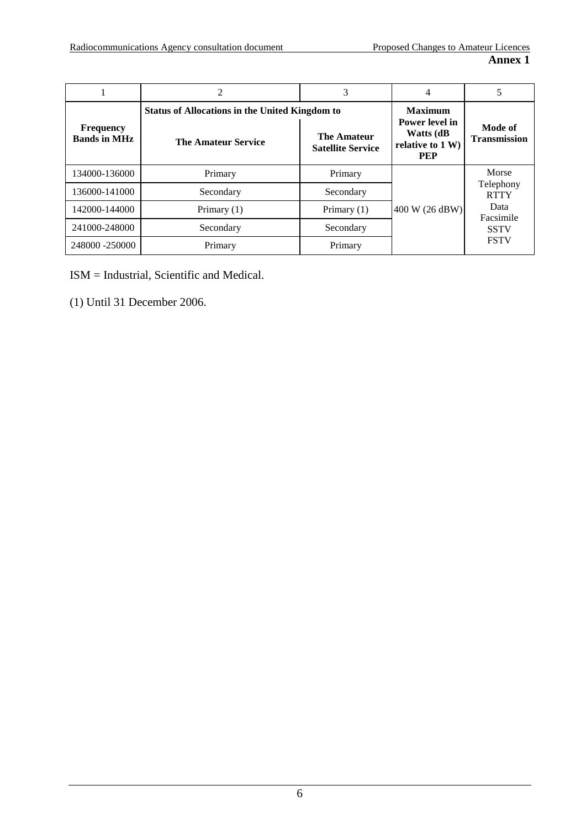|                                         | 2                                                     | 3                                       |                                              |                          |
|-----------------------------------------|-------------------------------------------------------|-----------------------------------------|----------------------------------------------|--------------------------|
| <b>Frequency</b><br><b>Bands in MHz</b> | <b>Status of Allocations in the United Kingdom to</b> |                                         | <b>Maximum</b><br>Power level in             | Mode of                  |
|                                         | <b>The Amateur Service</b>                            | The Amateur<br><b>Satellite Service</b> | Watts (dB)<br>relative to 1 W)<br><b>PEP</b> | <b>Transmission</b>      |
| 134000-136000                           | Primary                                               | Primary                                 | 400 W (26 dBW)                               | Morse                    |
| 136000-141000                           | Secondary                                             | Secondary                               |                                              | Telephony<br><b>RTTY</b> |
| 142000-144000                           | Primary $(1)$                                         | Primary $(1)$                           |                                              | Data<br>Facsimile        |
| 241000-248000                           | Secondary                                             | Secondary                               |                                              | <b>SSTV</b>              |
| 248000 -250000                          | Primary                                               | Primary                                 |                                              | <b>FSTV</b>              |

ISM = Industrial, Scientific and Medical.

(1) Until 31 December 2006.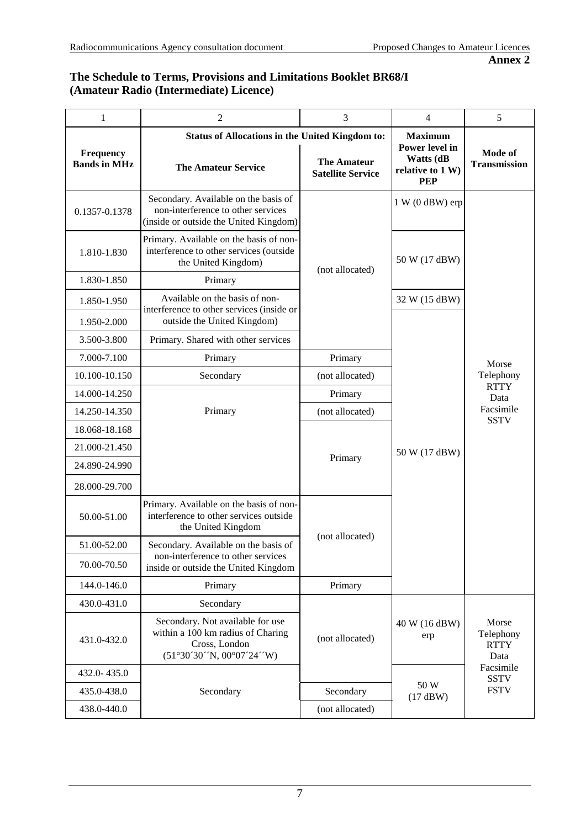#### **The Schedule to Terms, Provisions and Limitations Booklet BR68/I (Amateur Radio (Intermediate) Licence)**

| $\mathbf{1}$                     | $\overline{c}$                                                                                                       | 3                                                      | $\overline{4}$                                                | 5                                         |
|----------------------------------|----------------------------------------------------------------------------------------------------------------------|--------------------------------------------------------|---------------------------------------------------------------|-------------------------------------------|
|                                  |                                                                                                                      | <b>Status of Allocations in the United Kingdom to:</b> |                                                               |                                           |
| Frequency<br><b>Bands in MHz</b> | <b>The Amateur Service</b>                                                                                           | <b>The Amateur</b><br><b>Satellite Service</b>         | Power level in<br>Watts (dB<br>relative to 1 W)<br><b>PEP</b> | Mode of<br><b>Transmission</b>            |
| 0.1357-0.1378                    | Secondary. Available on the basis of<br>non-interference to other services<br>(inside or outside the United Kingdom) |                                                        | $1 W (0 dBW)$ erp                                             |                                           |
| 1.810-1.830                      | Primary. Available on the basis of non-<br>interference to other services (outside<br>the United Kingdom)            | (not allocated)                                        | 50 W (17 dBW)                                                 |                                           |
| 1.830-1.850                      | Primary                                                                                                              |                                                        |                                                               |                                           |
| 1.850-1.950<br>1.950-2.000       | Available on the basis of non-<br>interference to other services (inside or<br>outside the United Kingdom)           |                                                        | 32 W (15 dBW)                                                 |                                           |
| 3.500-3.800                      | Primary. Shared with other services                                                                                  |                                                        |                                                               |                                           |
| 7.000-7.100                      | Primary                                                                                                              | Primary                                                |                                                               |                                           |
| 10.100-10.150                    | Secondary                                                                                                            | (not allocated)                                        |                                                               | Morse<br>Telephony                        |
| 14.000-14.250                    |                                                                                                                      | Primary                                                |                                                               | <b>RTTY</b>                               |
| 14.250-14.350                    | Primary                                                                                                              | (not allocated)                                        |                                                               | Data<br>Facsimile                         |
| 18.068-18.168                    |                                                                                                                      |                                                        |                                                               | <b>SSTV</b>                               |
| 21.000-21.450                    |                                                                                                                      |                                                        | 50 W (17 dBW)                                                 |                                           |
| 24.890-24.990                    |                                                                                                                      | Primary                                                |                                                               |                                           |
| 28.000-29.700                    |                                                                                                                      |                                                        |                                                               |                                           |
| 50.00-51.00                      | Primary. Available on the basis of non-<br>interference to other services outside<br>the United Kingdom              |                                                        |                                                               |                                           |
| 51.00-52.00                      | Secondary. Available on the basis of                                                                                 | (not allocated)                                        |                                                               |                                           |
| 70.00-70.50                      | non-interference to other services<br>inside or outside the United Kingdom                                           |                                                        |                                                               |                                           |
| 144.0-146.0                      | Primary                                                                                                              | Primary                                                |                                                               |                                           |
| 430.0-431.0                      | Secondary                                                                                                            |                                                        |                                                               |                                           |
| 431.0-432.0                      | Secondary. Not available for use<br>within a 100 km radius of Charing<br>Cross, London<br>(51°30'30'N, 00°07'24'W)   | (not allocated)                                        | 40 W (16 dBW)<br>erp                                          | Morse<br>Telephony<br><b>RTTY</b><br>Data |
| 432.0-435.0                      |                                                                                                                      |                                                        |                                                               | Facsimile<br><b>SSTV</b>                  |
| 435.0-438.0                      | Secondary                                                                                                            | Secondary                                              | 50 W<br>(17 dBW)                                              | <b>FSTV</b>                               |
| 438.0-440.0                      |                                                                                                                      | (not allocated)                                        |                                                               |                                           |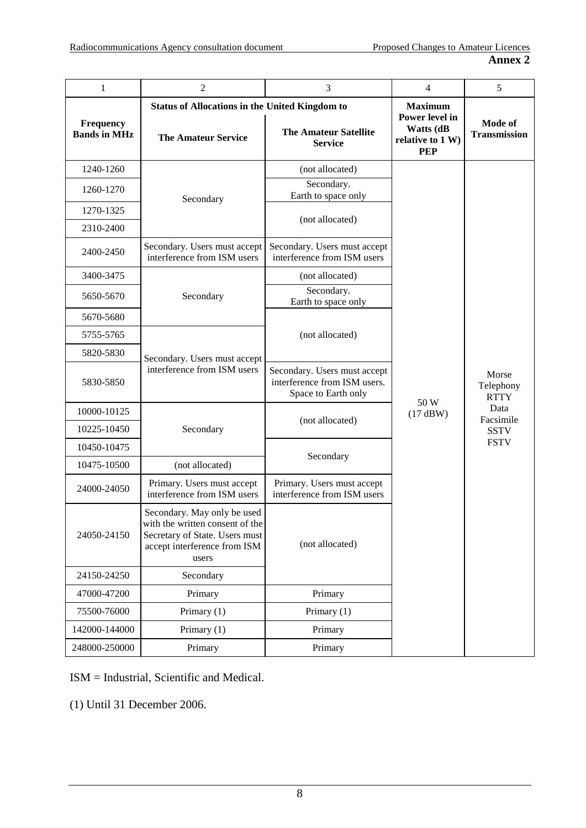| $\mathbf{1}$                     | 2                                                                                                                                         | 3                                                                                   | $\overline{4}$                                                                  | 5                                                                                    |
|----------------------------------|-------------------------------------------------------------------------------------------------------------------------------------------|-------------------------------------------------------------------------------------|---------------------------------------------------------------------------------|--------------------------------------------------------------------------------------|
| Frequency<br><b>Bands in MHz</b> | <b>Status of Allocations in the United Kingdom to</b><br><b>The Amateur Service</b>                                                       | <b>The Amateur Satellite</b><br><b>Service</b>                                      | <b>Maximum</b><br>Power level in<br>Watts (dB<br>relative to 1 W)<br><b>PEP</b> | Mode of<br><b>Transmission</b>                                                       |
| 1240-1260                        |                                                                                                                                           | (not allocated)                                                                     |                                                                                 |                                                                                      |
| 1260-1270                        | Secondary                                                                                                                                 | Secondary.<br>Earth to space only                                                   |                                                                                 |                                                                                      |
| 1270-1325                        |                                                                                                                                           | (not allocated)                                                                     |                                                                                 |                                                                                      |
| 2310-2400                        |                                                                                                                                           |                                                                                     |                                                                                 |                                                                                      |
| 2400-2450                        | Secondary. Users must accept<br>interference from ISM users                                                                               | Secondary. Users must accept<br>interference from ISM users                         |                                                                                 |                                                                                      |
| 3400-3475                        |                                                                                                                                           | (not allocated)                                                                     |                                                                                 |                                                                                      |
| 5650-5670                        | Secondary                                                                                                                                 | Secondary.<br>Earth to space only                                                   |                                                                                 |                                                                                      |
| 5670-5680                        |                                                                                                                                           |                                                                                     |                                                                                 |                                                                                      |
| 5755-5765                        |                                                                                                                                           | (not allocated)                                                                     |                                                                                 |                                                                                      |
| 5820-5830                        | Secondary. Users must accept                                                                                                              |                                                                                     | 50 W<br>(17 dBW)                                                                | Morse<br>Telephony<br><b>RTTY</b><br>Data<br>Facsimile<br><b>SSTV</b><br><b>FSTV</b> |
| 5830-5850                        | interference from ISM users                                                                                                               | Secondary. Users must accept<br>interference from ISM users.<br>Space to Earth only |                                                                                 |                                                                                      |
| 10000-10125                      |                                                                                                                                           | (not allocated)                                                                     |                                                                                 |                                                                                      |
| 10225-10450                      | Secondary                                                                                                                                 |                                                                                     |                                                                                 |                                                                                      |
| 10450-10475                      |                                                                                                                                           | Secondary                                                                           |                                                                                 |                                                                                      |
| 10475-10500                      | (not allocated)                                                                                                                           |                                                                                     |                                                                                 |                                                                                      |
| 24000-24050                      | Primary. Users must accept<br>interference from ISM users                                                                                 | Primary. Users must accept<br>interference from ISM users                           |                                                                                 |                                                                                      |
| 24050-24150                      | Secondary. May only be used<br>with the written consent of the<br>Secretary of State. Users must<br>accept interference from ISM<br>users | (not allocated)                                                                     |                                                                                 |                                                                                      |
| 24150-24250                      | Secondary                                                                                                                                 |                                                                                     |                                                                                 |                                                                                      |
| 47000-47200                      | Primary                                                                                                                                   | Primary                                                                             |                                                                                 |                                                                                      |
| 75500-76000                      | Primary (1)                                                                                                                               | Primary (1)                                                                         |                                                                                 |                                                                                      |
| 142000-144000                    | Primary (1)                                                                                                                               | Primary                                                                             |                                                                                 |                                                                                      |
| 248000-250000                    | Primary                                                                                                                                   | Primary                                                                             |                                                                                 |                                                                                      |

ISM = Industrial, Scientific and Medical.

(1) Until 31 December 2006.